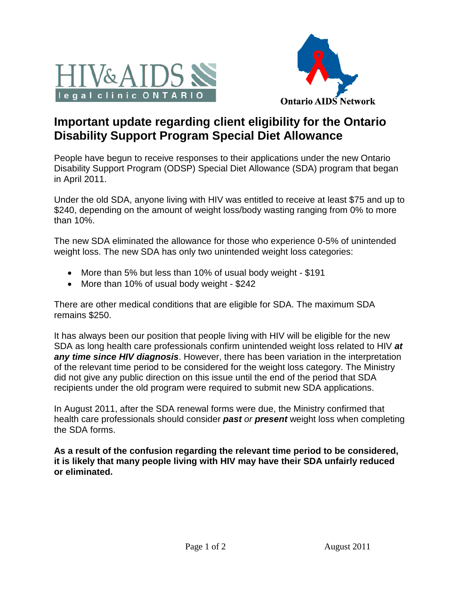



## **Important update regarding client eligibility for the Ontario Disability Support Program Special Diet Allowance**

People have begun to receive responses to their applications under the new Ontario Disability Support Program (ODSP) Special Diet Allowance (SDA) program that began in April 2011.

Under the old SDA, anyone living with HIV was entitled to receive at least \$75 and up to \$240, depending on the amount of weight loss/body wasting ranging from 0% to more than 10%.

The new SDA eliminated the allowance for those who experience 0-5% of unintended weight loss. The new SDA has only two unintended weight loss categories:

- More than 5% but less than 10% of usual body weight \$191
- More than 10% of usual body weight \$242

There are other medical conditions that are eligible for SDA. The maximum SDA remains \$250.

It has always been our position that people living with HIV will be eligible for the new SDA as long health care professionals confirm unintended weight loss related to HIV *at any time since HIV diagnosis*. However, there has been variation in the interpretation of the relevant time period to be considered for the weight loss category. The Ministry did not give any public direction on this issue until the end of the period that SDA recipients under the old program were required to submit new SDA applications.

In August 2011, after the SDA renewal forms were due, the Ministry confirmed that health care professionals should consider *past or present* weight loss when completing the SDA forms.

**As a result of the confusion regarding the relevant time period to be considered, it is likely that many people living with HIV may have their SDA unfairly reduced or eliminated.**